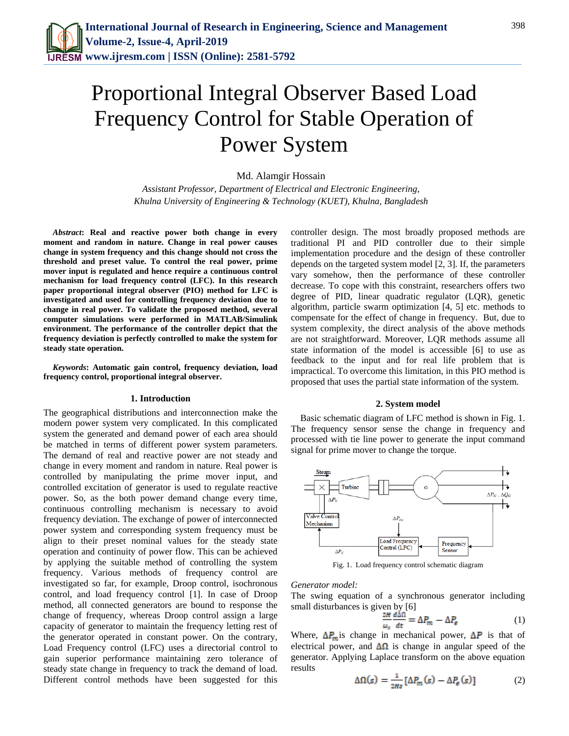# Proportional Integral Observer Based Load Frequency Control for Stable Operation of Power System

Md. Alamgir Hossain

*Assistant Professor, Department of Electrical and Electronic Engineering, Khulna University of Engineering & Technology (KUET), Khulna, Bangladesh*

*Abstract***: Real and reactive power both change in every moment and random in nature. Change in real power causes change in system frequency and this change should not cross the threshold and preset value. To control the real power, prime mover input is regulated and hence require a continuous control mechanism for load frequency control (LFC). In this research paper proportional integral observer (PIO) method for LFC is investigated and used for controlling frequency deviation due to change in real power. To validate the proposed method, several computer simulations were performed in MATLAB/Simulink environment. The performance of the controller depict that the frequency deviation is perfectly controlled to make the system for steady state operation.**

*Keywords***: Automatic gain control, frequency deviation, load frequency control, proportional integral observer.** 

# **1. Introduction**

The geographical distributions and interconnection make the modern power system very complicated. In this complicated system the generated and demand power of each area should be matched in terms of different power system parameters. The demand of real and reactive power are not steady and change in every moment and random in nature. Real power is controlled by manipulating the prime mover input, and controlled excitation of generator is used to regulate reactive power. So, as the both power demand change every time, continuous controlling mechanism is necessary to avoid frequency deviation. The exchange of power of interconnected power system and corresponding system frequency must be align to their preset nominal values for the steady state operation and continuity of power flow. This can be achieved by applying the suitable method of controlling the system frequency. Various methods of frequency control are investigated so far, for example, Droop control, isochronous control, and load frequency control [1]. In case of Droop method, all connected generators are bound to response the change of frequency, whereas Droop control assign a large capacity of generator to maintain the frequency letting rest of the generator operated in constant power. On the contrary, Load Frequency control (LFC) uses a directorial control to gain superior performance maintaining zero tolerance of steady state change in frequency to track the demand of load. Different control methods have been suggested for this

controller design. The most broadly proposed methods are traditional PI and PID controller due to their simple implementation procedure and the design of these controller depends on the targeted system model [2, 3]. If, the parameters vary somehow, then the performance of these controller decrease. To cope with this constraint, researchers offers two degree of PID, linear quadratic regulator (LQR), genetic algorithm, particle swarm optimization [4, 5] etc. methods to compensate for the effect of change in frequency. But, due to system complexity, the direct analysis of the above methods are not straightforward. Moreover, LQR methods assume all state information of the model is accessible [6] to use as feedback to the input and for real life problem that is impractical. To overcome this limitation, in this PIO method is proposed that uses the partial state information of the system.

## **2. System model**

Basic schematic diagram of LFC method is shown in Fig. 1. The frequency sensor sense the change in frequency and processed with tie line power to generate the input command signal for prime mover to change the torque.



Fig. 1. Load frequency control schematic diagram

#### *Generator model:*

The swing equation of a synchronous generator including small disturbances is given by [6]

$$
\frac{d^{2}H}{\omega_{s}}\frac{d\Delta\Omega}{dt} = \Delta P_{m} - \Delta P_{e}
$$
 (1)

Where,  $\Delta P_m$  is change in mechanical power,  $\Delta P$  is that of electrical power, and  $\Delta\Omega$  is change in angular speed of the generator. Applying Laplace transform on the above equation results

$$
\Delta\Omega(s) = \frac{1}{2Hs} \left[ \Delta P_m(s) - \Delta P_e(s) \right] \tag{2}
$$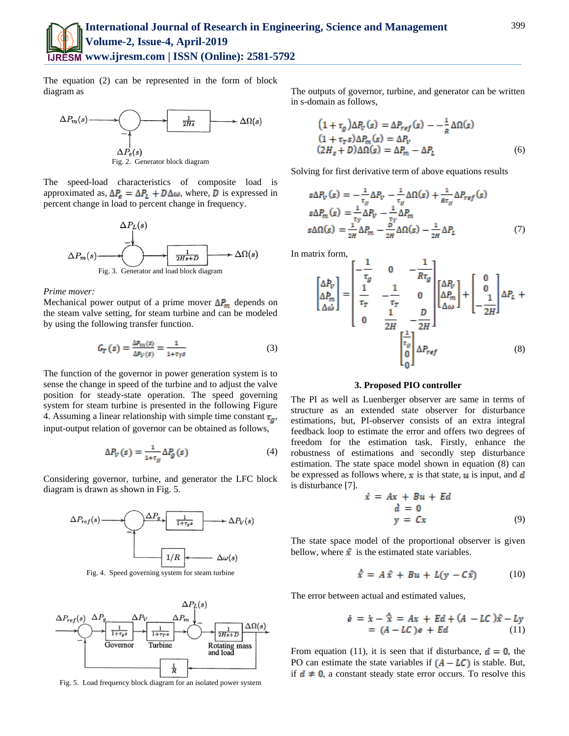The equation (2) can be represented in the form of block diagram as



Fig. 2. Generator block diagram

The speed-load characteristics of composite load is approximated as,  $\Delta P_{\rm g} = \Delta P_L + D \Delta \omega$ , where, **D** is expressed in percent change in load to percent change in frequency.

$$
\Delta P_L(s)
$$
\n
$$
\Delta P_m(s)
$$
\n
$$
\Delta P_m(s)
$$
\n
$$
\Delta P_m(s)
$$
\n
$$
\Delta P_m(s)
$$
\n
$$
\Delta P_m(s)
$$
\n
$$
\Delta P_m(s)
$$
\n
$$
\Delta P_m(s)
$$
\n
$$
\Delta P_m(s)
$$
\n
$$
\Delta P_m(s)
$$
\n
$$
\Delta P_m(s)
$$
\n
$$
\Delta P_m(s)
$$
\n
$$
\Delta P_m(s)
$$
\n
$$
\Delta P_m(s)
$$
\n
$$
\Delta P_m(s)
$$
\n
$$
\Delta P_m(s)
$$
\n
$$
\Delta P_m(s)
$$
\n
$$
\Delta P_m(s)
$$
\n
$$
\Delta P_m(s)
$$
\n
$$
\Delta P_m(s)
$$
\n
$$
\Delta P_m(s)
$$
\n
$$
\Delta P_m(s)
$$
\n
$$
\Delta P_m(s)
$$
\n
$$
\Delta P_m(s)
$$
\n
$$
\Delta P_m(s)
$$
\n
$$
\Delta P_m(s)
$$
\n
$$
\Delta P_m(s)
$$
\n
$$
\Delta P_m(s)
$$
\n
$$
\Delta P_m(s)
$$
\n
$$
\Delta P_m(s)
$$
\n
$$
\Delta P_m(s)
$$
\n
$$
\Delta P_m(s)
$$
\n
$$
\Delta P_m(s)
$$
\n
$$
\Delta P_m(s)
$$
\n
$$
\Delta P_m(s)
$$
\n
$$
\Delta P_m(s)
$$
\n
$$
\Delta P_m(s)
$$
\n
$$
\Delta P_m(s)
$$
\n
$$
\Delta P_m(s)
$$
\n
$$
\Delta P_m(s)
$$
\n
$$
\Delta P_m(s)
$$
\n
$$
\Delta P_m(s)
$$
\n
$$
\Delta P_m(s)
$$
\n
$$
\Delta P_m(s)
$$
\n
$$
\Delta P_m(s)
$$
\n
$$
\Delta P_m(s)
$$
\n
$$
\Delta P_m(s)
$$
\n
$$
\Delta P_m(s)
$$
\n
$$
\Delta P_m(s)
$$
\n
$$
\Delta P_m(s)
$$
\n
$$
\Delta P_m(s)
$$
\n
$$
\Delta P_m(s)
$$
\n
$$
\Delta P_m(s)
$$
\n
$$
\Delta P_m(s)
$$
\n
$$
\Delta P_m
$$

#### *Prime mover:*

Mechanical power output of a prime mover  $\Delta P_m$  depends on the steam valve setting, for steam turbine and can be modeled by using the following transfer function.

$$
G_T(s) = \frac{\Delta P_m(s)}{\Delta P_V(s)} = \frac{1}{1 + \tau_T s} \tag{3}
$$

The function of the governor in power generation system is to sense the change in speed of the turbine and to adjust the valve position for steady-state operation. The speed governing system for steam turbine is presented in the following Figure 4. Assuming a linear relationship with simple time constant  $\tau_a$ , input-output relation of governor can be obtained as follows,

$$
\Delta P_V(s) = \frac{1}{1 + \tau_g} \Delta P_g(s) \tag{4}
$$

Considering governor, turbine, and generator the LFC block diagram is drawn as shown in Fig. 5.



Fig. 4. Speed governing system for steam turbine



Fig. 5. Load frequency block diagram for an isolated power system

The outputs of governor, turbine, and generator can be written in s-domain as follows,

$$
(1 + \tau_g) \Delta P_V(s) = \Delta P_{ref}(s) - \frac{1}{R} \Delta \Omega(s)
$$
  
\n
$$
(1 + \tau_r s) \Delta P_m(s) = \Delta P_V
$$
  
\n
$$
(2H_s + D) \Delta \Omega(s) = \Delta P_m - \Delta P_L
$$
 (6)

Solving for first derivative term of above equations results

$$
s\Delta P_V(s) = -\frac{1}{\tau_g}\Delta P_V - \frac{1}{\tau_g}\Delta \Omega(s) + \frac{1}{R\tau_g}\Delta P_{ref}(s)
$$
  
\n
$$
s\Delta P_m(s) = \frac{1}{\tau_T}\Delta P_V - \frac{1}{\tau_T}\Delta P_m
$$
  
\n
$$
s\Delta \Omega(s) = \frac{1}{2H}\Delta P_m - \frac{D}{2H}\Delta \Omega(s) - \frac{1}{2H}\Delta P_L
$$
 (7)

In matrix form,

$$
\begin{bmatrix}\n\Delta P_V \\
\Delta P_m \\
\Delta \omega\n\end{bmatrix} = \begin{bmatrix}\n-\frac{1}{\tau_g} & 0 & -\frac{1}{R\tau_g} \\
\frac{1}{\tau_T} & -\frac{1}{\tau_T} & 0 \\
0 & \frac{1}{2H} & -\frac{D}{2H}\n\end{bmatrix} \begin{bmatrix}\n\Delta P_V \\
\Delta P_m \\
\Delta \omega\n\end{bmatrix} + \begin{bmatrix}\n0 \\
0 \\
-\frac{1}{2H}\n\end{bmatrix} \Delta P_L + \begin{bmatrix}\n\frac{1}{\tau_g} \\
0 \\
0\n\end{bmatrix} \Delta P_{ref} \tag{8}
$$

## **3. Proposed PIO controller**

The PI as well as Luenberger observer are same in terms of structure as an extended state observer for disturbance estimations, but, PI-observer consists of an extra integral feedback loop to estimate the error and offers two degrees of freedom for the estimation task. Firstly, enhance the robustness of estimations and secondly step disturbance estimation. The state space model shown in equation (8) can be expressed as follows where,  $\boldsymbol{x}$  is that state,  $\boldsymbol{u}$  is input, and  $\boldsymbol{d}$ is disturbance [7].

$$
\begin{aligned}\n\dot{\epsilon} &= Ax + Bu + Ed \\
\dot{d} &= 0 \\
y &= Cx\n\end{aligned} \tag{9}
$$

The state space model of the proportional observer is given bellow, where  $\hat{x}$  is the estimated state variables.

$$
\hat{x} = A\hat{x} + Bu + L(y - C\hat{x}) \tag{10}
$$

The error between actual and estimated values,

đ

$$
\dot{e} = \dot{x} - \hat{x} = Ax + Ed + (A - LC)\hat{x} - Ly \n= (A - LC)e + Ed
$$
\n(11)

From equation (11), it is seen that if disturbance,  $\mathbf{d} = \mathbf{0}$ , the PO can estimate the state variables if  $(A - LC)$  is stable. But, if  $d \neq 0$ , a constant steady state error occurs. To resolve this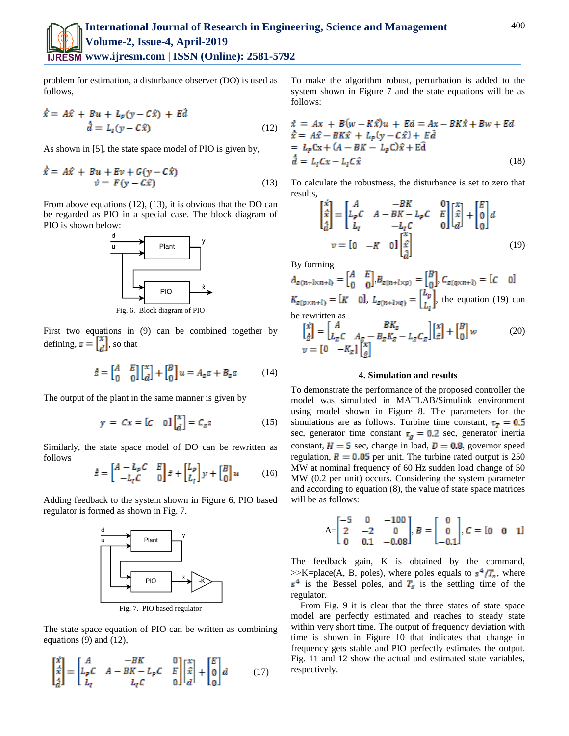

problem for estimation, a disturbance observer (DO) is used as follows,

$$
\dot{\hat{x}} = A\hat{x} + Bu + L_p(y - C\hat{x}) + E\hat{d}
$$
  

$$
\dot{\hat{d}} = L_l(y - C\hat{x})
$$
 (12)

As shown in [5], the state space model of PIO is given by,

$$
\dot{\hat{x}} = A\hat{x} + Bu + Ev + G(y - C\hat{x})
$$
  

$$
\dot{v} = F(y - C\hat{x})
$$
 (13)

From above equations (12), (13), it is obvious that the DO can be regarded as PIO in a special case. The block diagram of PIO is shown below:



Fig. 6. Block diagram of PIO

First two equations in (9) can be combined together by defining,  $z = \begin{bmatrix} x \\ d \end{bmatrix}$ , so that

$$
\dot{z} = \begin{bmatrix} A & E \\ 0 & 0 \end{bmatrix} \begin{bmatrix} x \\ d \end{bmatrix} + \begin{bmatrix} B \\ 0 \end{bmatrix} u = A_z z + B_z z \tag{14}
$$

The output of the plant in the same manner is given by

$$
y = Cx = [C \quad 0] \begin{bmatrix} x \\ d \end{bmatrix} = C_z z \tag{15}
$$

Similarly, the state space model of DO can be rewritten as follows

$$
\dot{\hat{z}} = \begin{bmatrix} A - L_p C & E \\ -L_l C & 0 \end{bmatrix} \hat{z} + \begin{bmatrix} L_p \\ L_l \end{bmatrix} y + \begin{bmatrix} B \\ 0 \end{bmatrix} u \tag{16}
$$

Adding feedback to the system shown in Figure 6, PIO based regulator is formed as shown in Fig. 7.



The state space equation of PIO can be written as combining equations (9) and (12),

$$
\begin{bmatrix} \dot{x} \\ \dot{x} \\ \dot{d} \end{bmatrix} = \begin{bmatrix} A & -BK & 0 \\ L_pC & A - BK - L_pC & E \\ L_l & -L_lC & 0 \end{bmatrix} \begin{bmatrix} x \\ \hat{x} \\ d \end{bmatrix} + \begin{bmatrix} E \\ 0 \\ 0 \end{bmatrix} d \tag{17}
$$

To make the algorithm robust, perturbation is added to the system shown in Figure 7 and the state equations will be as follows:

$$
\dot{x} = Ax + B(w - K\hat{x})u + Ed = Ax - BK\hat{x} + Bw + Ed
$$
\n
$$
\dot{x} = A\hat{x} - BK\hat{x} + L_p(y - C\hat{x}) + Ed
$$
\n
$$
= L_pCx + (A - BK - L_pC)\hat{x} + Ed
$$
\n
$$
\dot{d} = L_lCx - L_lC\hat{x}
$$
\n(18)

To calculate the robustness, the disturbance is set to zero that results,

$$
\begin{bmatrix} \dot{x} \\ \dot{x} \\ \dot{d} \end{bmatrix} = \begin{bmatrix} A & -BK \\ L_pC & A - BK - L_pC & E \\ L_l & -L_lC & 0 \end{bmatrix} \begin{bmatrix} x \\ \dot{x} \\ d \end{bmatrix} + \begin{bmatrix} E \\ 0 \\ 0 \end{bmatrix} d
$$

$$
v = \begin{bmatrix} 0 & -K & 0 \end{bmatrix} \begin{bmatrix} \dot{x} \\ \dot{x} \\ \dot{d} \end{bmatrix}
$$
(19)

By forming

 $A_{z(n+1\times n+1)} = \begin{bmatrix} A & E \\ 0 & 0 \end{bmatrix} B_{z(n+1\times p)} = \begin{bmatrix} B \\ 0 \end{bmatrix}, C_{z(q\times n+1)} = [C \quad 0]$  $K_{z(p \times n+l)} = [K \space \space 0], L_{z(n+l \times q)} = \begin{bmatrix} L_p \\ L_l \end{bmatrix}$ , the equation (19) can be rewritten as

$$
\begin{bmatrix} \dot{x} \\ \dot{z} \end{bmatrix} = \begin{bmatrix} A & BK_z \\ L_z C & A_z - B_z K_z - L_z C_z \end{bmatrix} \begin{bmatrix} x \\ \dot{z} \end{bmatrix} + \begin{bmatrix} B \\ 0 \end{bmatrix} w \tag{20}
$$
  

$$
v = \begin{bmatrix} 0 & -K_z \end{bmatrix} \begin{bmatrix} x \\ \dot{z} \end{bmatrix}
$$

## **4. Simulation and results**

To demonstrate the performance of the proposed controller the model was simulated in MATLAB/Simulink environment using model shown in Figure 8. The parameters for the simulations are as follows. Turbine time constant,  $\tau_{\rm T} = 0.5$ sec, generator time constant  $\tau_g = 0.2$  sec, generator inertia constant,  $H = 5$  sec, change in load,  $D = 0.8$ , governor speed regulation,  $R = 0.05$  per unit. The turbine rated output is 250 MW at nominal frequency of 60 Hz sudden load change of 50 MW (0.2 per unit) occurs. Considering the system parameter and according to equation (8), the value of state space matrices will be as follows:

$$
A = \begin{bmatrix} -5 & 0 & -100 \\ 2 & -2 & 0 \\ 0 & 0.1 & -0.08 \end{bmatrix}, B = \begin{bmatrix} 0 \\ 0 \\ -0.1 \end{bmatrix}, C = \begin{bmatrix} 0 & 0 & 1 \end{bmatrix}
$$

The feedback gain, K is obtained by the command, >>K=place(A, B, poles), where poles equals to  $s^4/T_s$ , where  $s^4$  is the Bessel poles, and  $T_s$  is the settling time of the regulator.

From Fig. 9 it is clear that the three states of state space model are perfectly estimated and reaches to steady state within very short time. The output of frequency deviation with time is shown in Figure 10 that indicates that change in frequency gets stable and PIO perfectly estimates the output. Fig. 11 and 12 show the actual and estimated state variables, respectively.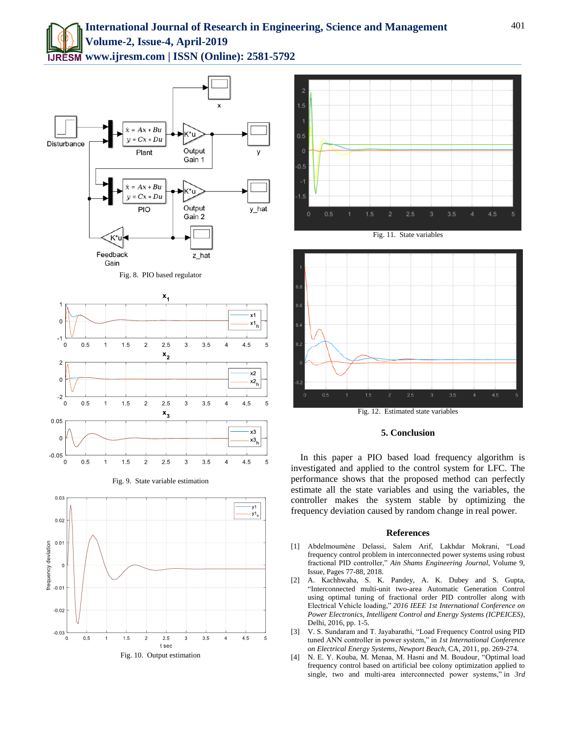









**5. Conclusion**

In this paper a PIO based load frequency algorithm is investigated and applied to the control system for LFC. The performance shows that the proposed method can perfectly estimate all the state variables and using the variables, the controller makes the system stable by optimizing the frequency deviation caused by random change in real power.

# **References**

- [1] Abdelmoumène Delassi, Salem Arif, Lakhdar Mokrani, "Load frequency control problem in interconnected power systems using robust fractional PID controller," *Ain Shams Engineering Journal*, Volume 9, Issue, Pages 77-88, 2018.
- [2] A. Kachhwaha, S. K. Pandey, A. K. Dubey and S. Gupta, "Interconnected multi-unit two-area Automatic Generation Control using optimal tuning of fractional order PID controller along with Electrical Vehicle loading," *2016 IEEE 1st International Conference on Power Electronics, Intelligent Control and Energy Systems (ICPEICES)*, Delhi, 2016, pp. 1-5.
- [3] V. S. Sundaram and T. Jayabarathi, "Load Frequency Control using PID tuned ANN controller in power system," in *1st International Conference on Electrical Energy Systems, Newport Beach*, CA, 2011, pp. 269-274.
- [4] N. E. Y. Kouba, M. Menaa, M. Hasni and M. Boudour, "Optimal load frequency control based on artificial bee colony optimization applied to single, two and multi-area interconnected power systems," in *3rd*